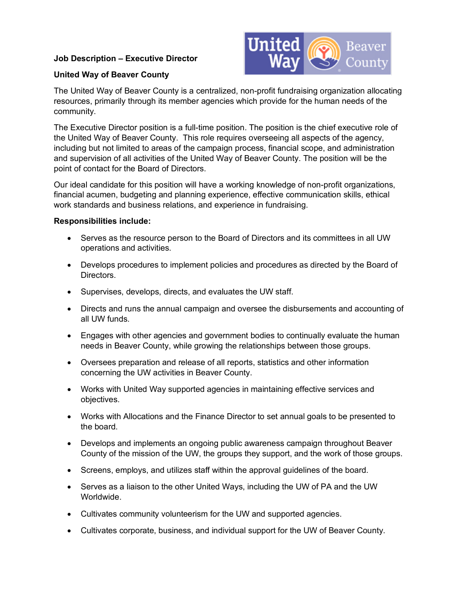#### **Job Description – Executive Director**



#### **United Way of Beaver County**

The United Way of Beaver County is a centralized, non-profit fundraising organization allocating resources, primarily through its member agencies which provide for the human needs of the community.

The Executive Director position is a full-time position. The position is the chief executive role of the United Way of Beaver County. This role requires overseeing all aspects of the agency, including but not limited to areas of the campaign process, financial scope, and administration and supervision of all activities of the United Way of Beaver County. The position will be the point of contact for the Board of Directors.

Our ideal candidate for this position will have a working knowledge of non-profit organizations, financial acumen, budgeting and planning experience, effective communication skills, ethical work standards and business relations, and experience in fundraising.

#### **Responsibilities include:**

- Serves as the resource person to the Board of Directors and its committees in all UW operations and activities.
- Develops procedures to implement policies and procedures as directed by the Board of Directors.
- Supervises, develops, directs, and evaluates the UW staff.
- Directs and runs the annual campaign and oversee the disbursements and accounting of all UW funds.
- Engages with other agencies and government bodies to continually evaluate the human needs in Beaver County, while growing the relationships between those groups.
- Oversees preparation and release of all reports, statistics and other information concerning the UW activities in Beaver County.
- Works with United Way supported agencies in maintaining effective services and objectives.
- Works with Allocations and the Finance Director to set annual goals to be presented to the board.
- Develops and implements an ongoing public awareness campaign throughout Beaver County of the mission of the UW, the groups they support, and the work of those groups.
- Screens, employs, and utilizes staff within the approval guidelines of the board.
- Serves as a liaison to the other United Ways, including the UW of PA and the UW Worldwide.
- Cultivates community volunteerism for the UW and supported agencies.
- Cultivates corporate, business, and individual support for the UW of Beaver County.